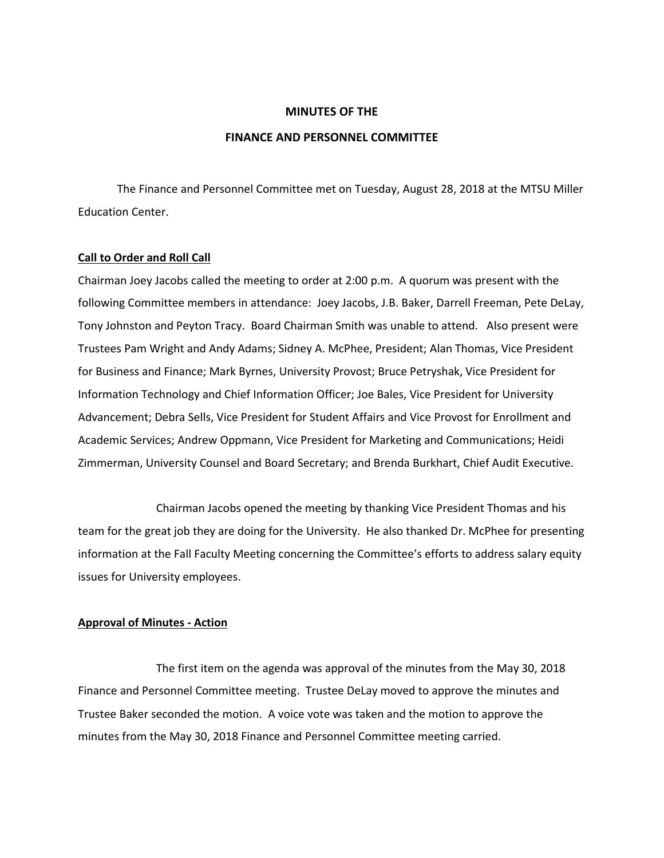### **MINUTES OF THE**

### **FINANCE AND PERSONNEL COMMITTEE**

The Finance and Personnel Committee met on Tuesday, August 28, 2018 at the MTSU Miller Education Center.

#### **Call to Order and Roll Call**

Chairman Joey Jacobs called the meeting to order at 2:00 p.m. A quorum was present with the following Committee members in attendance: Joey Jacobs, J.B. Baker, Darrell Freeman, Pete DeLay, Tony Johnston and Peyton Tracy. Board Chairman Smith was unable to attend. Also present were Trustees Pam Wright and Andy Adams; Sidney A. McPhee, President; Alan Thomas, Vice President for Business and Finance; Mark Byrnes, University Provost; Bruce Petryshak, Vice President for Information Technology and Chief Information Officer; Joe Bales, Vice President for University Advancement; Debra Sells, Vice President for Student Affairs and Vice Provost for Enrollment and Academic Services; Andrew Oppmann, Vice President for Marketing and Communications; Heidi Zimmerman, University Counsel and Board Secretary; and Brenda Burkhart, Chief Audit Executive.

Chairman Jacobs opened the meeting by thanking Vice President Thomas and his team for the great job they are doing for the University. He also thanked Dr. McPhee for presenting information at the Fall Faculty Meeting concerning the Committee's efforts to address salary equity issues for University employees.

### **Approval of Minutes - Action**

The first item on the agenda was approval of the minutes from the May 30, 2018 Finance and Personnel Committee meeting. Trustee DeLay moved to approve the minutes and Trustee Baker seconded the motion. A voice vote was taken and the motion to approve the minutes from the May 30, 2018 Finance and Personnel Committee meeting carried.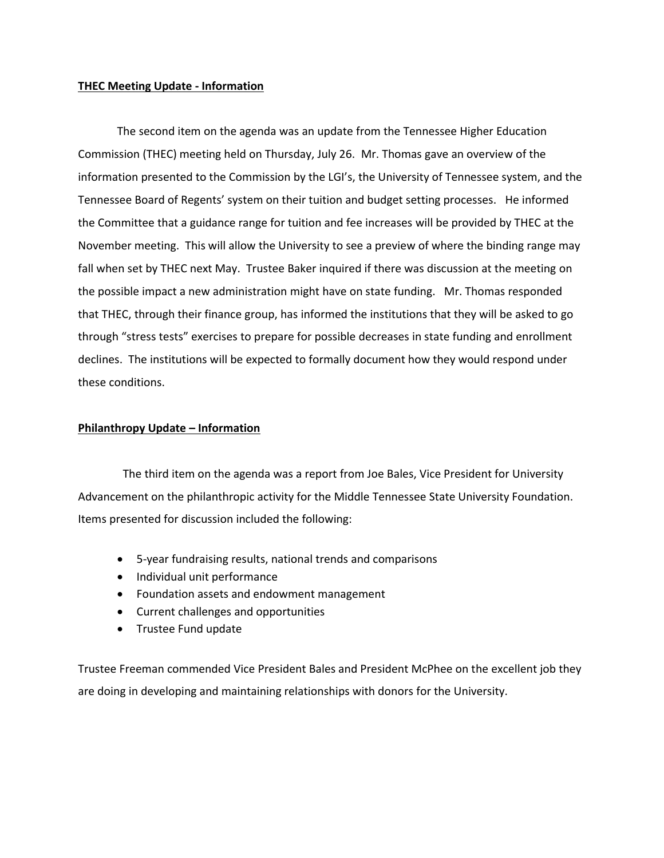# **THEC Meeting Update - Information**

The second item on the agenda was an update from the Tennessee Higher Education Commission (THEC) meeting held on Thursday, July 26. Mr. Thomas gave an overview of the information presented to the Commission by the LGI's, the University of Tennessee system, and the Tennessee Board of Regents' system on their tuition and budget setting processes. He informed the Committee that a guidance range for tuition and fee increases will be provided by THEC at the November meeting. This will allow the University to see a preview of where the binding range may fall when set by THEC next May. Trustee Baker inquired if there was discussion at the meeting on the possible impact a new administration might have on state funding. Mr. Thomas responded that THEC, through their finance group, has informed the institutions that they will be asked to go through "stress tests" exercises to prepare for possible decreases in state funding and enrollment declines. The institutions will be expected to formally document how they would respond under these conditions.

# **Philanthropy Update – Information**

 The third item on the agenda was a report from Joe Bales, Vice President for University Advancement on the philanthropic activity for the Middle Tennessee State University Foundation. Items presented for discussion included the following:

- 5-year fundraising results, national trends and comparisons
- Individual unit performance
- Foundation assets and endowment management
- Current challenges and opportunities
- Trustee Fund update

Trustee Freeman commended Vice President Bales and President McPhee on the excellent job they are doing in developing and maintaining relationships with donors for the University.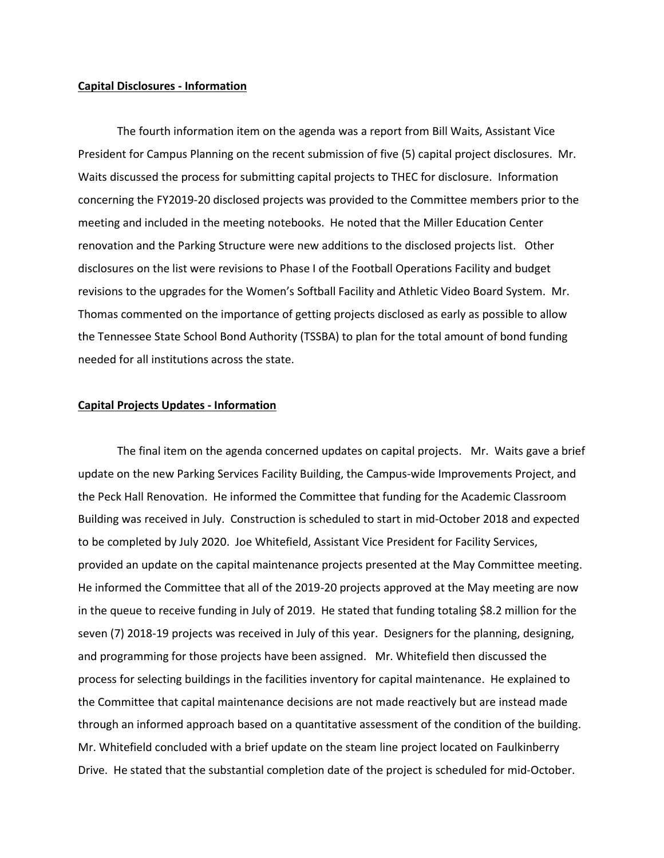### **Capital Disclosures - Information**

The fourth information item on the agenda was a report from Bill Waits, Assistant Vice President for Campus Planning on the recent submission of five (5) capital project disclosures. Mr. Waits discussed the process for submitting capital projects to THEC for disclosure. Information concerning the FY2019-20 disclosed projects was provided to the Committee members prior to the meeting and included in the meeting notebooks. He noted that the Miller Education Center renovation and the Parking Structure were new additions to the disclosed projects list. Other disclosures on the list were revisions to Phase I of the Football Operations Facility and budget revisions to the upgrades for the Women's Softball Facility and Athletic Video Board System. Mr. Thomas commented on the importance of getting projects disclosed as early as possible to allow the Tennessee State School Bond Authority (TSSBA) to plan for the total amount of bond funding needed for all institutions across the state.

### **Capital Projects Updates - Information**

The final item on the agenda concerned updates on capital projects. Mr. Waits gave a brief update on the new Parking Services Facility Building, the Campus-wide Improvements Project, and the Peck Hall Renovation. He informed the Committee that funding for the Academic Classroom Building was received in July. Construction is scheduled to start in mid-October 2018 and expected to be completed by July 2020. Joe Whitefield, Assistant Vice President for Facility Services, provided an update on the capital maintenance projects presented at the May Committee meeting. He informed the Committee that all of the 2019-20 projects approved at the May meeting are now in the queue to receive funding in July of 2019. He stated that funding totaling \$8.2 million for the seven (7) 2018-19 projects was received in July of this year. Designers for the planning, designing, and programming for those projects have been assigned. Mr. Whitefield then discussed the process for selecting buildings in the facilities inventory for capital maintenance. He explained to the Committee that capital maintenance decisions are not made reactively but are instead made through an informed approach based on a quantitative assessment of the condition of the building. Mr. Whitefield concluded with a brief update on the steam line project located on Faulkinberry Drive. He stated that the substantial completion date of the project is scheduled for mid-October.